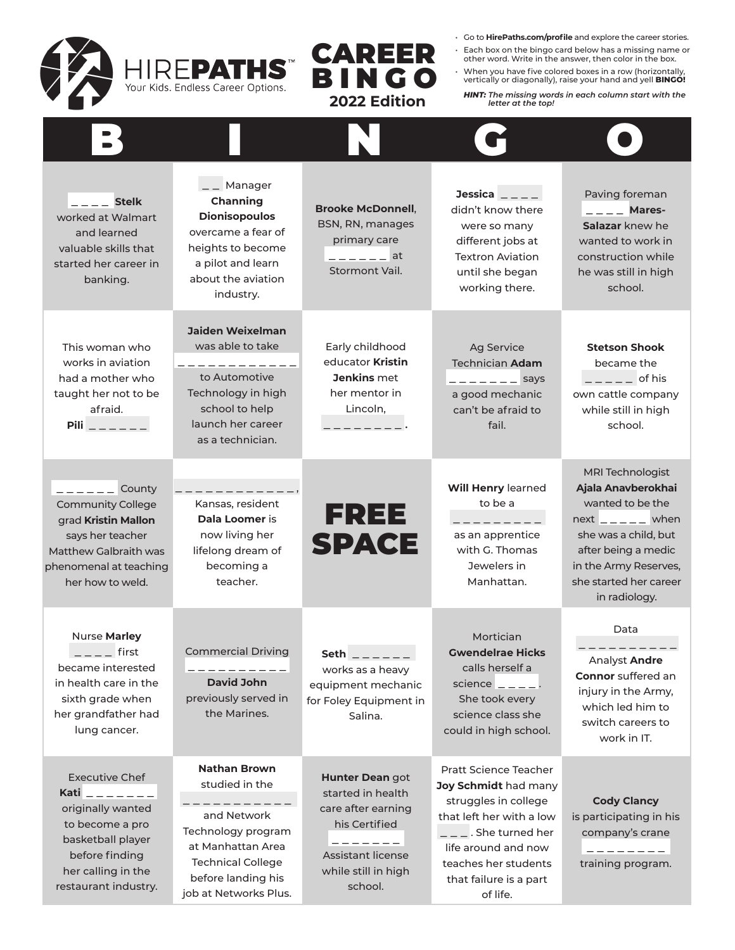

• Go to **HirePaths.com/profile** and explore the career stories.

- Each box on the bingo card below has a missing name or other word. Write in the answer, then color in the box.
- When you have five colored boxes in a row (horizontally, vertically or diagonally), raise your hand and yell **BINGO!**

*HINT: The missing words in each column start with the letter at the top!* 

| $---$ Stelk<br>worked at Walmart<br>and learned<br>valuable skills that<br>started her career in<br>banking.                                                             | _ Manager<br>Channing<br><b>Dionisopoulos</b><br>overcame a fear of<br>heights to become<br>a pilot and learn<br>about the aviation<br>industry.                           | <b>Brooke McDonnell.</b><br>BSN, RN, manages<br>primary care<br>$--- - -$ at<br>Stormont Vail.                                                        | Jessica $\overline{\phantom{a}}$ $\overline{\phantom{a}}$<br>didn't know there<br>were so many<br>different jobs at<br><b>Textron Aviation</b><br>until she began<br>working there.                                     | Paving foreman<br>$   -$ Mares-<br>Salazar knew he<br>wanted to work in<br>construction while<br>he was still in high<br>school.                                                                   |
|--------------------------------------------------------------------------------------------------------------------------------------------------------------------------|----------------------------------------------------------------------------------------------------------------------------------------------------------------------------|-------------------------------------------------------------------------------------------------------------------------------------------------------|-------------------------------------------------------------------------------------------------------------------------------------------------------------------------------------------------------------------------|----------------------------------------------------------------------------------------------------------------------------------------------------------------------------------------------------|
| This woman who<br>works in aviation<br>had a mother who<br>taught her not to be<br>afraid.<br>Pili $\overline{\phantom{a} - \phantom{a}- \phantom{a}- \phantom{a}}$      | <b>Jaiden Weixelman</b><br>was able to take<br>____________<br>to Automotive<br>Technology in high<br>school to help<br>launch her career<br>as a technician.              | Early childhood<br>educator Kristin<br>Jenkins met<br>her mentor in<br>Lincoln,                                                                       | Ag Service<br><b>Technician Adam</b><br>$- - - - - -$ says<br>a good mechanic<br>can't be afraid to<br>fail.                                                                                                            | <b>Stetson Shook</b><br>became the<br>$---$ of his<br>own cattle company<br>while still in high<br>school.                                                                                         |
| $-- ---$ County<br><b>Community College</b><br>grad Kristin Mallon<br>says her teacher<br><b>Matthew Galbraith was</b><br>phenomenal at teaching<br>her how to weld.     | Kansas, resident<br>Dala Loomer is<br>now living her<br>lifelong dream of<br>becoming a<br>teacher.                                                                        | FREE<br><b>SPACE</b>                                                                                                                                  | Will Henry learned<br>to be a<br>--------<br>as an apprentice<br>with G. Thomas<br>Jewelers in<br>Manhattan.                                                                                                            | MRI Technologist<br>Ajala Anavberokhai<br>wanted to be the<br>$next_{---}$ when<br>she was a child, but<br>after being a medic<br>in the Army Reserves,<br>she started her career<br>in radiology. |
| Nurse Marley<br>$---$ first<br>became interested<br>in health care in the<br>sixth grade when<br>her grandfather had<br>lung cancer.                                     | <b>Commercial Driving</b><br>. _ _ _ _ _ _ _ _<br>David John<br>previously served in<br>the Marines.                                                                       | <b>Seth</b><br>works as a heavy<br>equipment mechanic<br>for Foley Equipment in<br>Salina.                                                            | Mortician<br><b>Gwendelrae Hicks</b><br>calls herself a<br>science $\overline{\phantom{a}}$ = $\overline{\phantom{a}}$ = $\overline{\phantom{a}}$ .<br>She took every<br>science class she<br>could in high school.     | Data<br>Analyst Andre<br><b>Connor</b> suffered an<br>injury in the Army,<br>which led him to<br>switch careers to<br>work in IT.                                                                  |
| <b>Executive Chef</b><br>Kati _ _ _ _ _ _ _<br>originally wanted<br>to become a pro<br>basketball player<br>before finding<br>her calling in the<br>restaurant industry. | <b>Nathan Brown</b><br>studied in the<br>and Network<br>Technology program<br>at Manhattan Area<br><b>Technical College</b><br>before landing his<br>job at Networks Plus. | Hunter Dean got<br>started in health<br>care after earning<br>his Certified<br>--------<br><b>Assistant license</b><br>while still in high<br>school. | <b>Pratt Science Teacher</b><br>Joy Schmidt had many<br>struggles in college<br>that left her with a low<br>$  -$ . She turned her<br>life around and now<br>teaches her students<br>that failure is a part<br>of life. | <b>Cody Clancy</b><br>is participating in his<br>company's crane<br>. <i>.</i> .<br>training program.                                                                                              |

CAREER

BINGO  **2022 Edition**